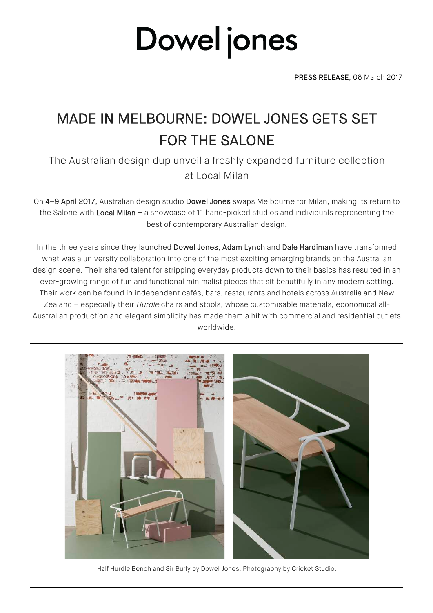### MADE IN MELBOURNE: DOWEL JONES GETS SET FOR THE SALONE

The Australian design dup unveil a freshly expanded furniture collection at Local Milan

On 4–9 April 2017, Australian design studio Dowel Jones swaps Melbourne for Milan, making its return to the Salone with Local Milan – a showcase of 11 hand-picked studios and individuals representing the best of contemporary Australian design.

In the three years since they launched Dowel Jones, Adam Lynch and Dale Hardiman have transformed what was a university collaboration into one of the most exciting emerging brands on the Australian design scene. Their shared talent for stripping everyday products down to their basics has resulted in an ever-growing range of fun and functional minimalist pieces that sit beautifully in any modern setting. Their work can be found in independent cafés, bars, restaurants and hotels across Australia and New Zealand – especially their *Hurdle* chairs and stools, whose customisable materials, economical all-Australian production and elegant simplicity has made them a hit with commercial and residential outlets worldwide.



Half Hurdle Bench and Sir Burly by Dowel Jones. Photography by Cricket Studio.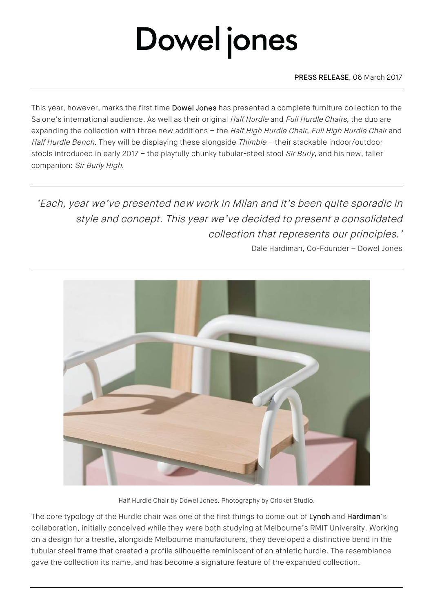PRESS RELEASE, 06 March 2017

This year, however, marks the first time Dowel Jones has presented a complete furniture collection to the Salone's international audience. As well as their original Half Hurdle and Full Hurdle Chairs, the duo are expanding the collection with three new additions - the Half High Hurdle Chair, Full High Hurdle Chair and Half Hurdle Bench. They will be displaying these alongside Thimble - their stackable indoor/outdoor stools introduced in early 2017 - the playfully chunky tubular-steel stool Sir Burly, and his new, taller companion: Sir Burly High.

'Each, year we've presented new work in Milan and it's been quite sporadic in style and concept. This year we've decided to present a consolidated collection that represents our principles.'

Dale Hardiman, Co-Founder – Dowel Jones



Half Hurdle Chair by Dowel Jones. Photography by Cricket Studio.

The core typology of the Hurdle chair was one of the first things to come out of Lynch and Hardiman's collaboration, initially conceived while they were both studying at Melbourne's RMIT University. Working on a design for a trestle, alongside Melbourne manufacturers, they developed a distinctive bend in the tubular steel frame that created a profile silhouette reminiscent of an athletic hurdle. The resemblance gave the collection its name, and has become a signature feature of the expanded collection.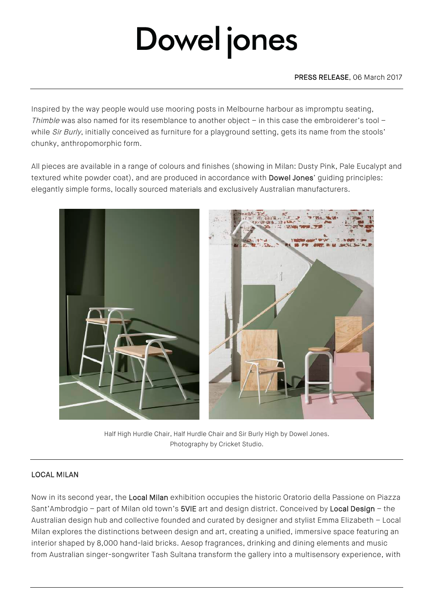Inspired by the way people would use mooring posts in Melbourne harbour as impromptu seating, Thimble was also named for its resemblance to another object – in this case the embroiderer's tool – while Sir Burly, initially conceived as furniture for a playground setting, gets its name from the stools' chunky, anthropomorphic form.

All pieces are available in a range of colours and finishes (showing in Milan: Dusty Pink, Pale Eucalypt and textured white powder coat), and are produced in accordance with **Dowel Jones'** guiding principles: elegantly simple forms, locally sourced materials and exclusively Australian manufacturers.



Half High Hurdle Chair, Half Hurdle Chair and Sir Burly High by Dowel Jones. Photography by Cricket Studio.

### LOCAL MILAN

Now in its second year, the Local Milan exhibition occupies the historic Oratorio della Passione on Piazza Sant'Ambrodgio – part of Milan old town's 5VIE art and design district. Conceived by Local Design – the Australian design hub and collective founded and curated by designer and stylist Emma Elizabeth – Local Milan explores the distinctions between design and art, creating a unified, immersive space featuring an interior shaped by 8,000 hand-laid bricks. Aesop fragrances, drinking and dining elements and music from Australian singer-songwriter Tash Sultana transform the gallery into a multisensory experience, with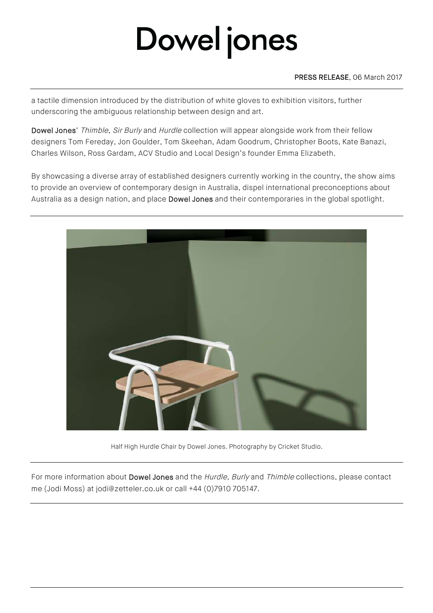#### PRESS RELEASE, 06 March 2017

a tactile dimension introduced by the distribution of white gloves to exhibition visitors, further underscoring the ambiguous relationship between design and art.

Dowel Jones' Thimble, Sir Burly and Hurdle collection will appear alongside work from their fellow designers Tom Fereday, Jon Goulder, Tom Skeehan, Adam Goodrum, Christopher Boots, Kate Banazi, Charles Wilson, Ross Gardam, ACV Studio and Local Design's founder Emma Elizabeth.

By showcasing a diverse array of established designers currently working in the country, the show aims to provide an overview of contemporary design in Australia, dispel international preconceptions about Australia as a design nation, and place Dowel Jones and their contemporaries in the global spotlight.



Half High Hurdle Chair by Dowel Jones. Photography by Cricket Studio.

For more information about Dowel Jones and the Hurdle, Burly and Thimble collections, please contact me (Jodi Moss) at jodi@zetteler.co.uk or call +44 (0)7910 705147.